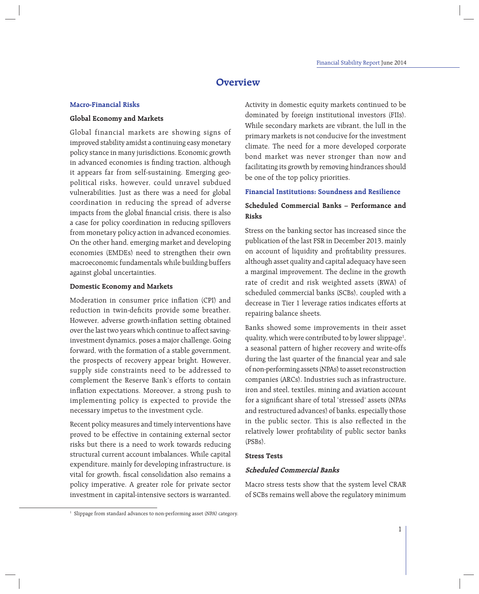# **Overview**

# **Macro-Financial Risks**

# **Global Economy and Markets**

Global financial markets are showing signs of improved stability amidst a continuing easy monetary policy stance in many jurisdictions. Economic growth in advanced economies is finding traction, although it appears far from self-sustaining. Emerging geopolitical risks, however, could unravel subdued vulnerabilities. Just as there was a need for global coordination in reducing the spread of adverse impacts from the global financial crisis, there is also a case for policy coordination in reducing spillovers from monetary policy action in advanced economies. On the other hand, emerging market and developing economies (EMDEs) need to strengthen their own macroeconomic fundamentals while building buffers against global uncertainties.

# **Domestic Economy and Markets**

Moderation in consumer price inflation (CPI) and reduction in twin-deficits provide some breather. However, adverse growth-inflation setting obtained over the last two years which continue to affect savinginvestment dynamics, poses a major challenge. Going forward, with the formation of a stable government, the prospects of recovery appear bright. However, supply side constraints need to be addressed to complement the Reserve Bank's efforts to contain inflation expectations. Moreover, a strong push to implementing policy is expected to provide the necessary impetus to the investment cycle.

Recent policy measures and timely interventions have proved to be effective in containing external sector risks but there is a need to work towards reducing structural current account imbalances. While capital expenditure, mainly for developing infrastructure, is vital for growth, fiscal consolidation also remains a policy imperative. A greater role for private sector investment in capital-intensive sectors is warranted.

Activity in domestic equity markets continued to be dominated by foreign institutional investors (FIIs). While secondary markets are vibrant, the lull in the primary markets is not conducive for the investment climate. The need for a more developed corporate bond market was never stronger than now and facilitating its growth by removing hindrances should be one of the top policy priorities.

# **Financial Institutions: Soundness and Resilience**

# **Scheduled Commercial Banks – Performance and Risks**

Stress on the banking sector has increased since the publication of the last FSR in December 2013, mainly on account of liquidity and profitability pressures, although asset quality and capital adequacy have seen a marginal improvement. The decline in the growth rate of credit and risk weighted assets (RWA) of scheduled commercial banks (SCBs), coupled with a decrease in Tier 1 leverage ratios indicates efforts at repairing balance sheets.

Banks showed some improvements in their asset quality, which were contributed to by lower slippage<sup>1</sup>, a seasonal pattern of higher recovery and write-offs during the last quarter of the financial year and sale of non-performing assets (NPAs) to asset reconstruction companies (ARCs). Industries such as infrastructure, iron and steel, textiles, mining and aviation account for a significant share of total 'stressed' assets (NPAs and restructured advances) of banks, especially those in the public sector. This is also reflected in the relatively lower profitability of public sector banks (PSBs).

# **Stress Tests**

# **Scheduled Commercial Banks**

Macro stress tests show that the system level CRAR of SCBs remains well above the regulatory minimum

<sup>&</sup>lt;sup>1</sup> Slippage from standard advances to non-performing asset (NPA) category.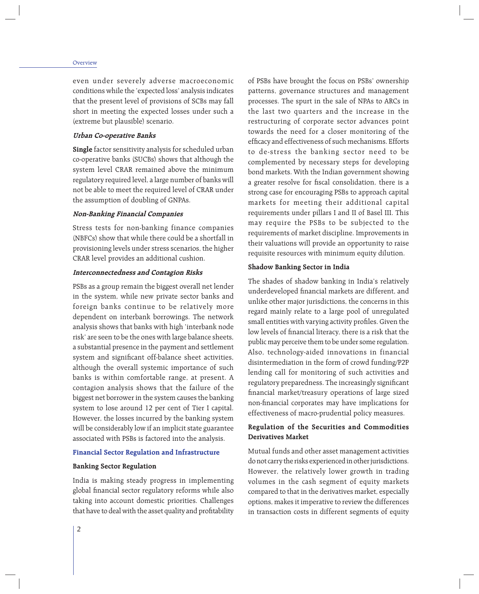#### Overview

even under severely adverse macroeconomic conditions while the 'expected loss' analysis indicates that the present level of provisions of SCBs may fall short in meeting the expected losses under such a (extreme but plausible) scenario.

### **Urban Co-operative Banks**

**Single** factor sensitivity analysis for scheduled urban co-operative banks (SUCBs) shows that although the system level CRAR remained above the minimum regulatory required level, a large number of banks will not be able to meet the required level of CRAR under the assumption of doubling of GNPAs.

### **Non-Banking Financial Companies**

Stress tests for non-banking finance companies (NBFCs) show that while there could be a shortfall in provisioning levels under stress scenarios, the higher CRAR level provides an additional cushion.

#### **Interconnectedness and Contagion Risks**

PSBs as a group remain the biggest overall net lender in the system, while new private sector banks and foreign banks continue to be relatively more dependent on interbank borrowings. The network analysis shows that banks with high 'interbank node risk' are seen to be the ones with large balance sheets, a substantial presence in the payment and settlement system and significant off-balance sheet activities, although the overall systemic importance of such banks is within comfortable range, at present. A contagion analysis shows that the failure of the biggest net borrower in the system causes the banking system to lose around 12 per cent of Tier I capital. However, the losses incurred by the banking system will be considerably low if an implicit state guarantee associated with PSBs is factored into the analysis.

#### **Financial Sector Regulation and Infrastructure**

#### **Banking Sector Regulation**

India is making steady progress in implementing global financial sector regulatory reforms while also taking into account domestic priorities. Challenges that have to deal with the asset quality and profitability of PSBs have brought the focus on PSBs' ownership patterns, governance structures and management processes. The spurt in the sale of NPAs to ARCs in the last two quarters and the increase in the restructuring of corporate sector advances point towards the need for a closer monitoring of the efficacy and effectiveness of such mechanisms. Efforts to de-stress the banking sector need to be complemented by necessary steps for developing bond markets. With the Indian government showing a greater resolve for fiscal consolidation, there is a strong case for encouraging PSBs to approach capital markets for meeting their additional capital requirements under pillars I and II of Basel III. This may require the PSBs to be subjected to the requirements of market discipline. Improvements in their valuations will provide an opportunity to raise requisite resources with minimum equity dilution.

#### **Shadow Banking Sector in India**

The shades of shadow banking in India's relatively underdeveloped financial markets are different, and unlike other major jurisdictions, the concerns in this regard mainly relate to a large pool of unregulated small entities with varying activity profiles. Given the low levels of financial literacy, there is a risk that the public may perceive them to be under some regulation. Also, technology-aided innovations in financial disintermediation in the form of crowd funding/P2P lending call for monitoring of such activities and regulatory preparedness. The increasingly significant financial market/treasury operations of large sized non-financial corporates may have implications for effectiveness of macro-prudential policy measures.

# **Regulation of the Securities and Commodities Derivatives Market**

Mutual funds and other asset management activities do not carry the risks experienced in other jurisdictions. However, the relatively lower growth in trading volumes in the cash segment of equity markets compared to that in the derivatives market, especially options, makes it imperative to review the differences in transaction costs in different segments of equity